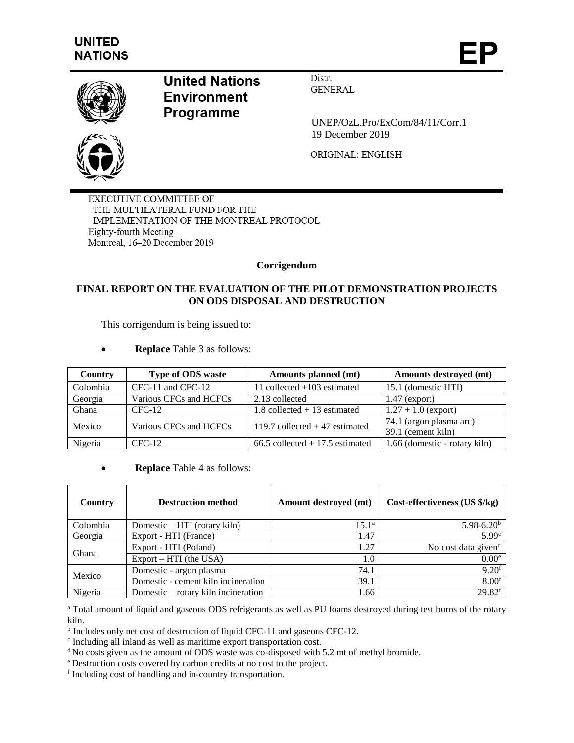

## **United Nations Environment** Programme

Distr. **GENERAL** 

 UNEP/OzL.Pro/ExCom/84/11/Corr.1 19 December 2019

ORIGINAL: ENGLISH

**EXECUTIVE COMMITTEE OF** THE MULTILATERAL FUND FOR THE IMPLEMENTATION OF THE MONTREAL PROTOCOL Eighty-fourth Meeting Montreal, 16-20 December 2019

## **Corrigendum**

## **FINAL REPORT ON THE EVALUATION OF THE PILOT DEMONSTRATION PROJECTS ON ODS DISPOSAL AND DESTRUCTION**

This corrigendum is being issued to:

**Replace** Table 3 as follows:

| Country  | <b>Type of ODS waste</b> | Amounts planned (mt)               | Amounts destroyed (mt)                        |
|----------|--------------------------|------------------------------------|-----------------------------------------------|
| Colombia | CFC-11 and CFC-12        | 11 collected $+103$ estimated      | 15.1 (domestic HTI)                           |
| Georgia  | Various CFCs and HCFCs   | 2.13 collected                     | $1.47$ (export)                               |
| Ghana    | $CFC-12$                 | $1.8$ collected $+13$ estimated    | $1.27 + 1.0$ (export)                         |
| Mexico   | Various CFCs and HCFCs   | 119.7 collected $+47$ estimated    | 74.1 (argon plasma arc)<br>39.1 (cement kiln) |
| Nigeria  | $CFC-12$                 | $66.5$ collected $+17.5$ estimated | 1.66 (domestic - rotary kiln)                 |

**Replace** Table 4 as follows:

| Country  | <b>Destruction method</b>           | Amount destroyed (mt)       | Cost-effectiveness (US \$/kg)   |
|----------|-------------------------------------|-----------------------------|---------------------------------|
| Colombia | Domestic – HTI (rotary kiln)        | $15.1^{\circ}$              | $5.98 - 6.20b$                  |
| Georgia  | Export - HTI (France)               | 1.47                        | 5.99 <sup>c</sup>               |
| Ghana    | Export - HTI (Poland)               | 1.27                        | No cost data given <sup>d</sup> |
|          | $Export - HTI$ (the USA)            | 1.0<br>74.1<br>39.1<br>1.66 | 0.00 <sup>e</sup>               |
| Mexico   | Domestic - argon plasma             |                             | $9.20$ f                        |
|          | Domestic - cement kiln incineration |                             | 8.00 <sup>f</sup>               |
| Nigeria  | Domestic – rotary kiln incineration |                             | $29.82$ <sup>f</sup>            |

<sup>a</sup> Total amount of liquid and gaseous ODS refrigerants as well as PU foams destroyed during test burns of the rotary kiln.

<sup>b</sup> Includes only net cost of destruction of liquid CFC-11 and gaseous CFC-12.

c Including all inland as well as maritime export transportation cost.

<sup>d</sup>No costs given as the amount of ODS waste was co-disposed with 5.2 mt of methyl bromide.

<sup>e</sup>Destruction costs covered by carbon credits at no cost to the project.

f Including cost of handling and in-country transportation.